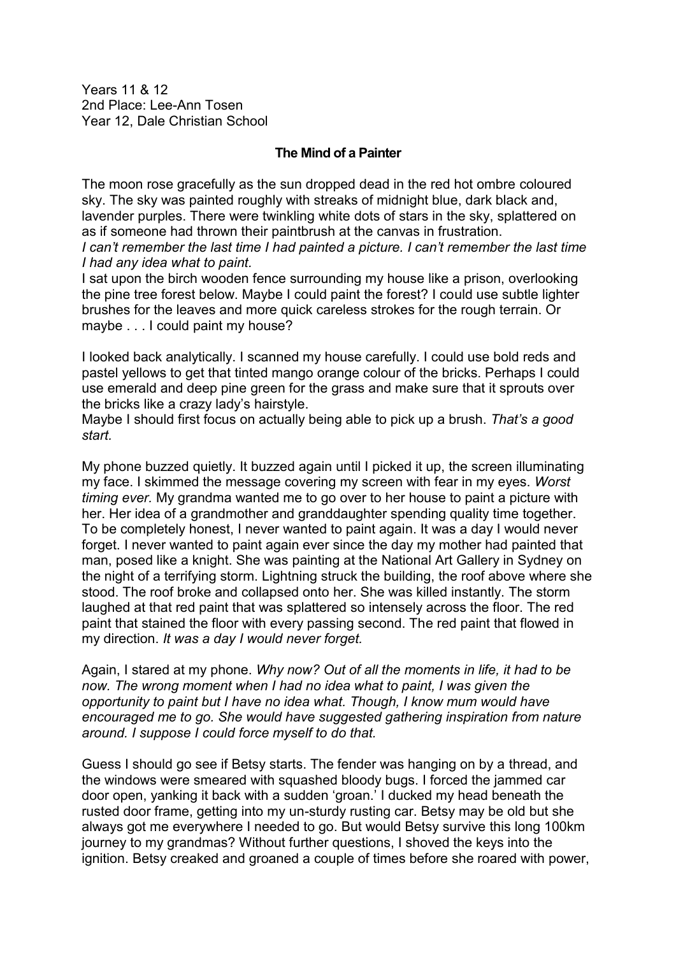Years 11 & 12 2nd Place: Lee-Ann Tosen Year 12, Dale Christian School

## **The Mind of a Painter**

The moon rose gracefully as the sun dropped dead in the red hot ombre coloured sky. The sky was painted roughly with streaks of midnight blue, dark black and, lavender purples. There were twinkling white dots of stars in the sky, splattered on as if someone had thrown their paintbrush at the canvas in frustration.

*I can't remember the last time I had painted a picture. I can't remember the last time I had any idea what to paint.* 

I sat upon the birch wooden fence surrounding my house like a prison, overlooking the pine tree forest below. Maybe I could paint the forest? I could use subtle lighter brushes for the leaves and more quick careless strokes for the rough terrain. Or maybe . . . I could paint my house?

I looked back analytically. I scanned my house carefully. I could use bold reds and pastel yellows to get that tinted mango orange colour of the bricks. Perhaps I could use emerald and deep pine green for the grass and make sure that it sprouts over the bricks like a crazy lady's hairstyle.

Maybe I should first focus on actually being able to pick up a brush. *That's a good start.* 

My phone buzzed quietly. It buzzed again until I picked it up, the screen illuminating my face. I skimmed the message covering my screen with fear in my eyes. *Worst timing ever.* My grandma wanted me to go over to her house to paint a picture with her. Her idea of a grandmother and granddaughter spending quality time together. To be completely honest, I never wanted to paint again. It was a day I would never forget. I never wanted to paint again ever since the day my mother had painted that man, posed like a knight. She was painting at the National Art Gallery in Sydney on the night of a terrifying storm. Lightning struck the building, the roof above where she stood. The roof broke and collapsed onto her. She was killed instantly. The storm laughed at that red paint that was splattered so intensely across the floor. The red paint that stained the floor with every passing second. The red paint that flowed in my direction. *It was a day I would never forget.* 

Again, I stared at my phone. *Why now? Out of all the moments in life, it had to be now. The wrong moment when I had no idea what to paint, I was given the opportunity to paint but I have no idea what. Though, I know mum would have encouraged me to go. She would have suggested gathering inspiration from nature around. I suppose I could force myself to do that.* 

Guess I should go see if Betsy starts. The fender was hanging on by a thread, and the windows were smeared with squashed bloody bugs. I forced the jammed car door open, yanking it back with a sudden 'groan.' I ducked my head beneath the rusted door frame, getting into my un-sturdy rusting car. Betsy may be old but she always got me everywhere I needed to go. But would Betsy survive this long 100km journey to my grandmas? Without further questions, I shoved the keys into the ignition. Betsy creaked and groaned a couple of times before she roared with power,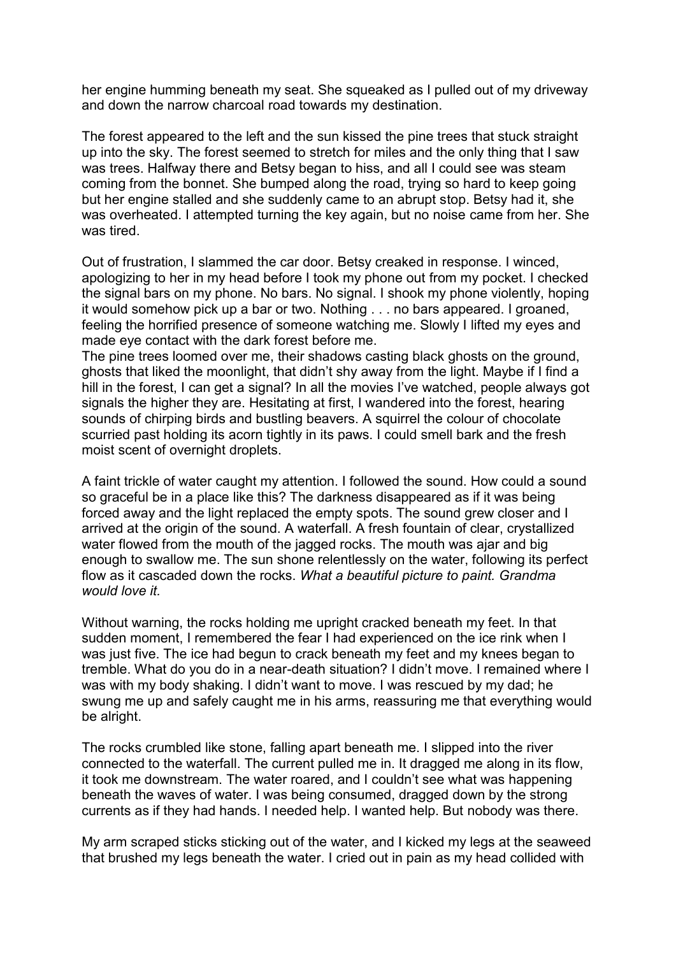her engine humming beneath my seat. She squeaked as I pulled out of my driveway and down the narrow charcoal road towards my destination.

The forest appeared to the left and the sun kissed the pine trees that stuck straight up into the sky. The forest seemed to stretch for miles and the only thing that I saw was trees. Halfway there and Betsy began to hiss, and all I could see was steam coming from the bonnet. She bumped along the road, trying so hard to keep going but her engine stalled and she suddenly came to an abrupt stop. Betsy had it, she was overheated. I attempted turning the key again, but no noise came from her. She was tired.

Out of frustration, I slammed the car door. Betsy creaked in response. I winced, apologizing to her in my head before I took my phone out from my pocket. I checked the signal bars on my phone. No bars. No signal. I shook my phone violently, hoping it would somehow pick up a bar or two. Nothing . . . no bars appeared. I groaned, feeling the horrified presence of someone watching me. Slowly I lifted my eyes and made eye contact with the dark forest before me.

The pine trees loomed over me, their shadows casting black ghosts on the ground, ghosts that liked the moonlight, that didn't shy away from the light. Maybe if I find a hill in the forest, I can get a signal? In all the movies I've watched, people always got signals the higher they are. Hesitating at first, I wandered into the forest, hearing sounds of chirping birds and bustling beavers. A squirrel the colour of chocolate scurried past holding its acorn tightly in its paws. I could smell bark and the fresh moist scent of overnight droplets.

A faint trickle of water caught my attention. I followed the sound. How could a sound so graceful be in a place like this? The darkness disappeared as if it was being forced away and the light replaced the empty spots. The sound grew closer and I arrived at the origin of the sound. A waterfall. A fresh fountain of clear, crystallized water flowed from the mouth of the jagged rocks. The mouth was ajar and big enough to swallow me. The sun shone relentlessly on the water, following its perfect flow as it cascaded down the rocks. *What a beautiful picture to paint. Grandma would love it.* 

Without warning, the rocks holding me upright cracked beneath my feet. In that sudden moment, I remembered the fear I had experienced on the ice rink when I was just five. The ice had begun to crack beneath my feet and my knees began to tremble. What do you do in a near-death situation? I didn't move. I remained where I was with my body shaking. I didn't want to move. I was rescued by my dad; he swung me up and safely caught me in his arms, reassuring me that everything would be alright.

The rocks crumbled like stone, falling apart beneath me. I slipped into the river connected to the waterfall. The current pulled me in. It dragged me along in its flow, it took me downstream. The water roared, and I couldn't see what was happening beneath the waves of water. I was being consumed, dragged down by the strong currents as if they had hands. I needed help. I wanted help. But nobody was there.

My arm scraped sticks sticking out of the water, and I kicked my legs at the seaweed that brushed my legs beneath the water. I cried out in pain as my head collided with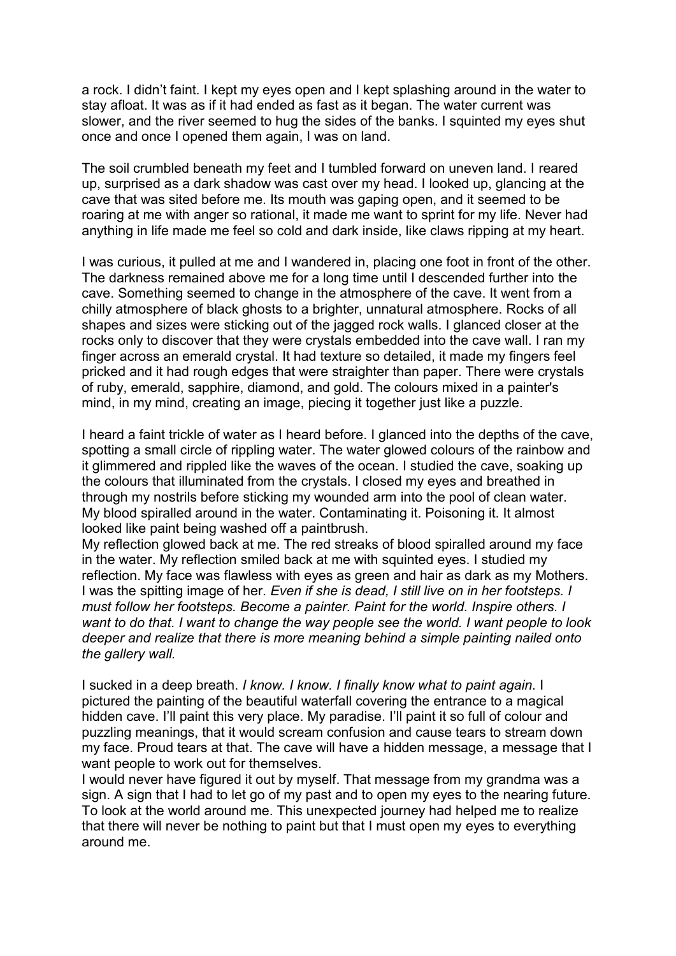a rock. I didn't faint. I kept my eyes open and I kept splashing around in the water to stay afloat. It was as if it had ended as fast as it began. The water current was slower, and the river seemed to hug the sides of the banks. I squinted my eyes shut once and once I opened them again, I was on land.

The soil crumbled beneath my feet and I tumbled forward on uneven land. I reared up, surprised as a dark shadow was cast over my head. I looked up, glancing at the cave that was sited before me. Its mouth was gaping open, and it seemed to be roaring at me with anger so rational, it made me want to sprint for my life. Never had anything in life made me feel so cold and dark inside, like claws ripping at my heart.

I was curious, it pulled at me and I wandered in, placing one foot in front of the other. The darkness remained above me for a long time until I descended further into the cave. Something seemed to change in the atmosphere of the cave. It went from a chilly atmosphere of black ghosts to a brighter, unnatural atmosphere. Rocks of all shapes and sizes were sticking out of the jagged rock walls. I glanced closer at the rocks only to discover that they were crystals embedded into the cave wall. I ran my finger across an emerald crystal. It had texture so detailed, it made my fingers feel pricked and it had rough edges that were straighter than paper. There were crystals of ruby, emerald, sapphire, diamond, and gold. The colours mixed in a painter's mind, in my mind, creating an image, piecing it together just like a puzzle.

I heard a faint trickle of water as I heard before. I glanced into the depths of the cave, spotting a small circle of rippling water. The water glowed colours of the rainbow and it glimmered and rippled like the waves of the ocean. I studied the cave, soaking up the colours that illuminated from the crystals. I closed my eyes and breathed in through my nostrils before sticking my wounded arm into the pool of clean water. My blood spiralled around in the water. Contaminating it. Poisoning it. It almost looked like paint being washed off a paintbrush.

My reflection glowed back at me. The red streaks of blood spiralled around my face in the water. My reflection smiled back at me with squinted eyes. I studied my reflection. My face was flawless with eyes as green and hair as dark as my Mothers. I was the spitting image of her. *Even if she is dead, I still live on in her footsteps. I must follow her footsteps. Become a painter. Paint for the world. Inspire others. I want to do that. I want to change the way people see the world. I want people to look deeper and realize that there is more meaning behind a simple painting nailed onto the gallery wall.* 

I sucked in a deep breath. *I know. I know. I finally know what to paint again.* I pictured the painting of the beautiful waterfall covering the entrance to a magical hidden cave. I'll paint this very place. My paradise. I'll paint it so full of colour and puzzling meanings, that it would scream confusion and cause tears to stream down my face. Proud tears at that. The cave will have a hidden message, a message that I want people to work out for themselves.

I would never have figured it out by myself. That message from my grandma was a sign. A sign that I had to let go of my past and to open my eyes to the nearing future. To look at the world around me. This unexpected journey had helped me to realize that there will never be nothing to paint but that I must open my eyes to everything around me.